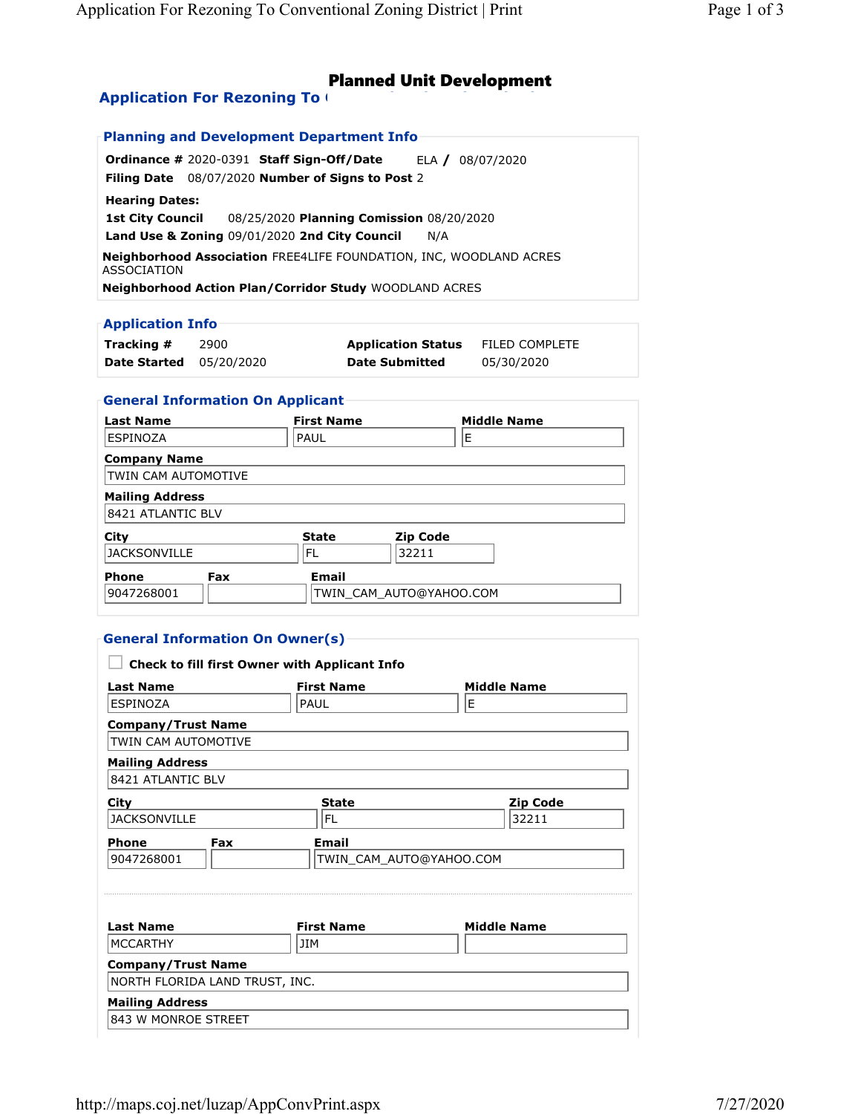# Application For Rezoning To (

| <b>Planning and Development Department Inform</b>                                        |                     |  |  |  |  |
|------------------------------------------------------------------------------------------|---------------------|--|--|--|--|
|                                                                                          |                     |  |  |  |  |
| <b>Ordinance # 2020-0391 Staff Sign-Off/Date</b>                                         | 08/07/2020<br>ELA / |  |  |  |  |
| Filing Date 08/07/2020 Number of Signs to Post 2                                         |                     |  |  |  |  |
| <b>Hearing Dates:</b>                                                                    |                     |  |  |  |  |
| 08/25/2020 Planning Comission 08/20/2020<br><b>1st City Council</b>                      |                     |  |  |  |  |
| Land Use & Zoning 09/01/2020 2nd City Council                                            | N/A                 |  |  |  |  |
| <b>Neighborhood Association FREE4LIFE FOUNDATION, INC, WOODLAND ACRES</b><br>ASSOCIATION |                     |  |  |  |  |
| Neighborhood Action Plan/Corridor Study WOODLAND ACRES                                   |                     |  |  |  |  |
|                                                                                          |                     |  |  |  |  |

## Application Info

| Tracking #                     | 2900 | <b>Application Status</b> | FILED COMPLETE |
|--------------------------------|------|---------------------------|----------------|
| <b>Date Started</b> 05/20/2020 |      | <b>Date Submitted</b>     | 05/30/2020     |

## General Information On Applicant

| <b>Last Name</b>       | <b>First Name</b> | <b>Middle Name</b>      |  |
|------------------------|-------------------|-------------------------|--|
| ESPINOZA               | <b>PAUL</b>       | E                       |  |
| <b>Company Name</b>    |                   |                         |  |
| TWIN CAM AUTOMOTIVE    |                   |                         |  |
| <b>Mailing Address</b> |                   |                         |  |
| 8421 ATLANTIC BLV      |                   |                         |  |
| City                   | <b>State</b>      | <b>Zip Code</b>         |  |
| <b>JACKSONVILLE</b>    | FL                | 32211                   |  |
| <b>Phone</b><br>Fax    | <b>Email</b>      |                         |  |
| 9047268001             |                   | TWIN CAM AUTO@YAHOO.COM |  |

## General Information On Owner(s)

|                                               |                                         | <b>Planning and Development Department Info</b>                    |                           |                       |  |
|-----------------------------------------------|-----------------------------------------|--------------------------------------------------------------------|---------------------------|-----------------------|--|
|                                               |                                         | Ordinance # 2020-0391 Staff Sign-Off/Date                          |                           | ELA / 08/07/2020      |  |
|                                               |                                         | Filing Date 08/07/2020 Number of Signs to Post 2                   |                           |                       |  |
| <b>Hearing Dates:</b>                         |                                         |                                                                    |                           |                       |  |
| <b>1st City Council</b>                       |                                         | 08/25/2020 Planning Comission 08/20/2020                           |                           |                       |  |
|                                               |                                         | Land Use & Zoning 09/01/2020 2nd City Council                      | N/A                       |                       |  |
| <b>ASSOCIATION</b>                            |                                         | Neighborhood Association FREE4LIFE FOUNDATION, INC, WOODLAND ACRES |                           |                       |  |
|                                               |                                         | Neighborhood Action Plan/Corridor Study WOODLAND ACRES             |                           |                       |  |
| <b>Application Info</b>                       |                                         |                                                                    |                           |                       |  |
| Tracking #                                    | 2900                                    |                                                                    | <b>Application Status</b> | <b>FILED COMPLETE</b> |  |
| <b>Date Started</b>                           | 05/20/2020                              |                                                                    | <b>Date Submitted</b>     | 05/30/2020            |  |
|                                               |                                         |                                                                    |                           |                       |  |
| <b>Last Name</b>                              | <b>General Information On Applicant</b> | <b>First Name</b>                                                  |                           | <b>Middle Name</b>    |  |
| <b>ESPINOZA</b>                               |                                         | PAUL                                                               |                           | E                     |  |
| <b>Company Name</b>                           |                                         |                                                                    |                           |                       |  |
| TWIN CAM AUTOMOTIVE                           |                                         |                                                                    |                           |                       |  |
| <b>Mailing Address</b>                        |                                         |                                                                    |                           |                       |  |
| 8421 ATLANTIC BLV                             |                                         |                                                                    |                           |                       |  |
|                                               |                                         |                                                                    |                           |                       |  |
| City                                          |                                         | State                                                              | <b>Zip Code</b>           |                       |  |
| <b>JACKSONVILLE</b>                           |                                         | <b>FL</b>                                                          | 32211                     |                       |  |
| <b>Phone</b>                                  | <b>Fax</b>                              | Email                                                              |                           |                       |  |
|                                               |                                         |                                                                    | TWIN_CAM_AUTO@YAHOO.COM   |                       |  |
| 9047268001<br><b>Last Name</b>                | <b>General Information On Owner(s)</b>  | Check to fill first Owner with Applicant Info<br><b>First Name</b> |                           | <b>Middle Name</b>    |  |
| <b>ESPINOZA</b>                               |                                         | PAUL                                                               |                           | E                     |  |
| <b>Company/Trust Name</b>                     |                                         |                                                                    |                           |                       |  |
| TWIN CAM AUTOMOTIVE                           |                                         |                                                                    |                           |                       |  |
| <b>Mailing Address</b>                        |                                         |                                                                    |                           |                       |  |
| 8421 ATLANTIC BLV                             |                                         |                                                                    |                           |                       |  |
| City                                          |                                         | State                                                              |                           | <b>Zip Code</b>       |  |
| <b>JACKSONVILLE</b>                           |                                         | FL                                                                 |                           | 32211                 |  |
| Phone                                         | <b>Fax</b>                              | Email                                                              |                           |                       |  |
| 9047268001                                    |                                         |                                                                    | TWIN_CAM_AUTO@YAHOO.COM   |                       |  |
|                                               |                                         |                                                                    |                           |                       |  |
| <b>Last Name</b>                              |                                         | <b>First Name</b>                                                  |                           | <b>Middle Name</b>    |  |
| <b>MCCARTHY</b>                               |                                         | JIM                                                                |                           |                       |  |
| <b>Company/Trust Name</b>                     |                                         |                                                                    |                           |                       |  |
|                                               | NORTH FLORIDA LAND TRUST, INC.          |                                                                    |                           |                       |  |
| <b>Mailing Address</b><br>843 W MONROE STREET |                                         |                                                                    |                           |                       |  |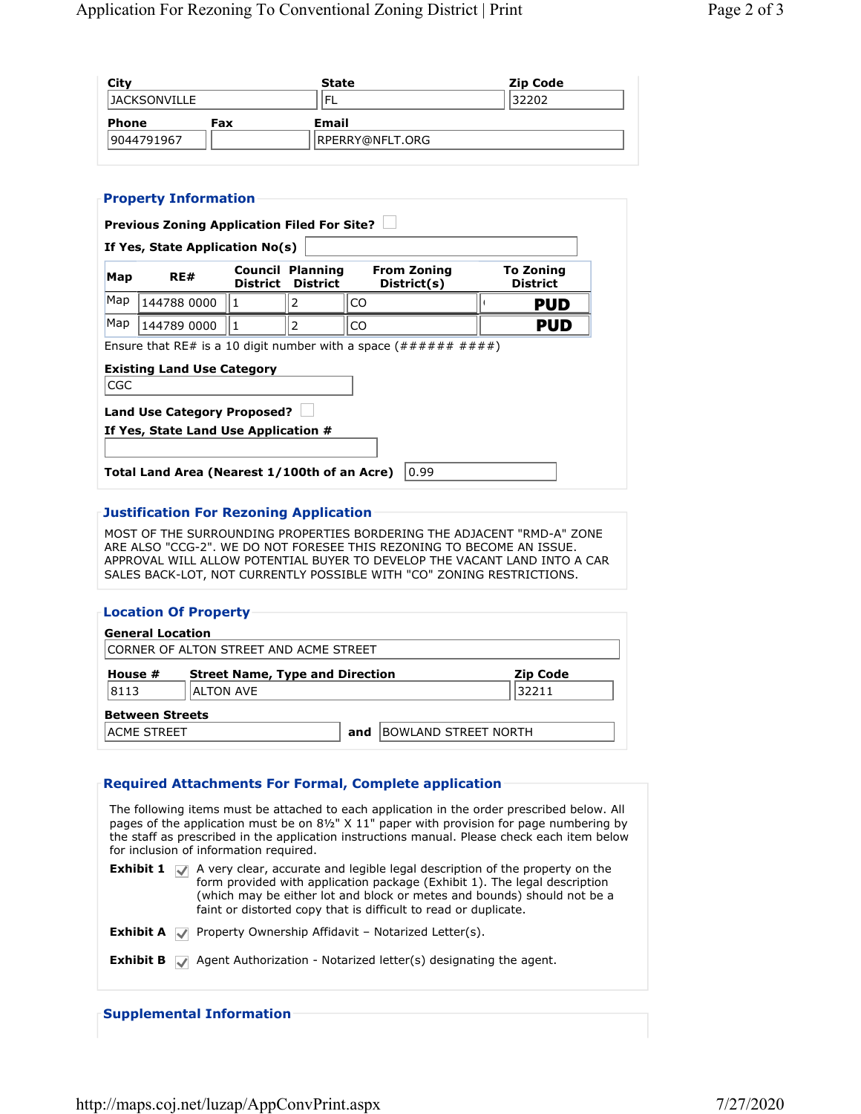| <b>State</b>    | <b>Zip Code</b> |
|-----------------|-----------------|
| FL              | 32202           |
| Email           |                 |
| RPERRY@NFLT.ORG |                 |
|                 |                 |

### Property Information

| Map             | RE#                                                                                                                        |                  | <b>Council Planning</b><br><b>District District</b> | <b>From Zoning</b><br>District(s)                                                                                                              | <b>To Zoning</b><br><b>District</b>                                                                                                                                                                                                                                                                                                                                                                                                                                                                                                                      |
|-----------------|----------------------------------------------------------------------------------------------------------------------------|------------------|-----------------------------------------------------|------------------------------------------------------------------------------------------------------------------------------------------------|----------------------------------------------------------------------------------------------------------------------------------------------------------------------------------------------------------------------------------------------------------------------------------------------------------------------------------------------------------------------------------------------------------------------------------------------------------------------------------------------------------------------------------------------------------|
| Map             | 144788 0000                                                                                                                | 1                | 2                                                   | CO                                                                                                                                             | <b>PUD</b>                                                                                                                                                                                                                                                                                                                                                                                                                                                                                                                                               |
| Map             | 144789 0000                                                                                                                | $\vert$ 1        | $\overline{2}$                                      | CO                                                                                                                                             | <b>PUD</b>                                                                                                                                                                                                                                                                                                                                                                                                                                                                                                                                               |
|                 | <b>Existing Land Use Category</b>                                                                                          |                  |                                                     | Ensure that RE# is a 10 digit number with a space $( # # # # # # # # #)$                                                                       |                                                                                                                                                                                                                                                                                                                                                                                                                                                                                                                                                          |
| CGC             |                                                                                                                            |                  |                                                     |                                                                                                                                                |                                                                                                                                                                                                                                                                                                                                                                                                                                                                                                                                                          |
|                 | <b>Land Use Category Proposed?</b><br>If Yes, State Land Use Application #<br>Total Land Area (Nearest 1/100th of an Acre) |                  |                                                     | 0.99                                                                                                                                           |                                                                                                                                                                                                                                                                                                                                                                                                                                                                                                                                                          |
|                 | <b>Justification For Rezoning Application</b>                                                                              |                  |                                                     |                                                                                                                                                |                                                                                                                                                                                                                                                                                                                                                                                                                                                                                                                                                          |
|                 |                                                                                                                            |                  |                                                     | ARE ALSO "CCG-2". WE DO NOT FORESEE THIS REZONING TO BECOME AN ISSUE.<br>SALES BACK-LOT, NOT CURRENTLY POSSIBLE WITH "CO" ZONING RESTRICTIONS. | MOST OF THE SURROUNDING PROPERTIES BORDERING THE ADJACENT "RMD-A" ZONE<br>APPROVAL WILL ALLOW POTENTIAL BUYER TO DEVELOP THE VACANT LAND INTO A CAR                                                                                                                                                                                                                                                                                                                                                                                                      |
| House #<br>8113 | CORNER OF ALTON STREET AND ACME STREET<br><b>Between Streets</b>                                                           | <b>ALTON AVE</b> | <b>Street Name, Type and Direction</b>              |                                                                                                                                                | <b>Zip Code</b><br>32211                                                                                                                                                                                                                                                                                                                                                                                                                                                                                                                                 |
|                 | <b>ACME STREET</b>                                                                                                         |                  |                                                     | <b>BOWLAND STREET NORTH</b><br>and                                                                                                             |                                                                                                                                                                                                                                                                                                                                                                                                                                                                                                                                                          |
|                 | for inclusion of information required.                                                                                     |                  |                                                     | <b>Required Attachments For Formal, Complete application</b><br>faint or distorted copy that is difficult to read or duplicate.                | The following items must be attached to each application in the order prescribed below. All<br>pages of the application must be on 81/2" X 11" paper with provision for page numbering by<br>the staff as prescribed in the application instructions manual. Please check each item below<br><b>Exhibit 1</b> $\Box$ A very clear, accurate and legible legal description of the property on the<br>form provided with application package (Exhibit 1). The legal description<br>(which may be either lot and block or metes and bounds) should not be a |
|                 |                                                                                                                            |                  |                                                     | <b>Exhibit A</b> $\sqrt{ }$ Property Ownership Affidavit - Notarized Letter(s).                                                                |                                                                                                                                                                                                                                                                                                                                                                                                                                                                                                                                                          |
|                 |                                                                                                                            |                  |                                                     |                                                                                                                                                |                                                                                                                                                                                                                                                                                                                                                                                                                                                                                                                                                          |
|                 | <b>Exhibit B</b> $\sqrt{ }$ Agent Authorization - Notarized letter(s) designating the agent.                               |                  |                                                     |                                                                                                                                                |                                                                                                                                                                                                                                                                                                                                                                                                                                                                                                                                                          |

#### Justification For Rezoning Application

| <b>Location Of Property</b>                                          |                  |       |  |  |
|----------------------------------------------------------------------|------------------|-------|--|--|
| <b>General Location</b>                                              |                  |       |  |  |
| CORNER OF ALTON STREET AND ACME STREET                               |                  |       |  |  |
| <b>Street Name, Type and Direction</b><br>House #<br><b>Zip Code</b> |                  |       |  |  |
| 8113                                                                 | <b>ALTON AVE</b> | 32211 |  |  |
| <b>Between Streets</b>                                               |                  |       |  |  |
| BOWLAND STREET NORTH<br>ACME STREET<br>and                           |                  |       |  |  |

#### Required Attachments For Formal, Complete application

#### Supplemental Information